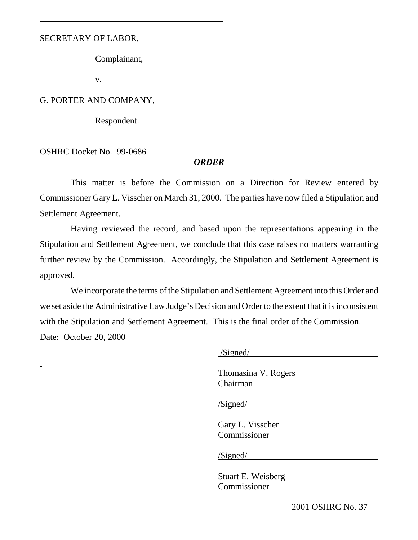## SECRETARY OF LABOR,

 $\overline{a}$ 

 $\overline{\phantom{a}}$ 

Complainant,

v.

G. PORTER AND COMPANY,

Respondent.

OSHRC Docket No. 99-0686

## *ORDER*

This matter is before the Commission on a Direction for Review entered by Commissioner Gary L. Visscher on March 31, 2000. The parties have now filed a Stipulation and Settlement Agreement.

Having reviewed the record, and based upon the representations appearing in the Stipulation and Settlement Agreement, we conclude that this case raises no matters warranting further review by the Commission. Accordingly, the Stipulation and Settlement Agreement is approved.

We incorporate the terms of the Stipulation and Settlement Agreement into this Order and we set aside the Administrative Law Judge's Decision and Order to the extent that it is inconsistent with the Stipulation and Settlement Agreement. This is the final order of the Commission. Date: October 20, 2000

/Signed/

Thomasina V. Rogers Chairman

/Signed/

Gary L. Visscher Commissioner

/Signed/

Stuart E. Weisberg Commissioner

2001 OSHRC No. 37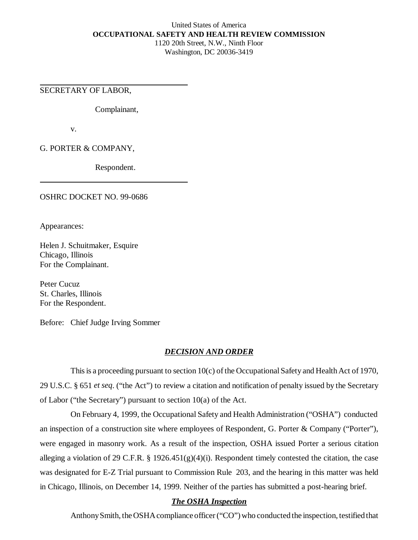## United States of America **OCCUPATIONAL SAFETY AND HEALTH REVIEW COMMISSION**

1120 20th Street, N.W., Ninth Floor Washington, DC 20036-3419

SECRETARY OF LABOR,

Complainant,

v.

G. PORTER & COMPANY,

Respondent.

OSHRC DOCKET NO. 99-0686

Appearances:

Helen J. Schuitmaker, Esquire Chicago, Illinois For the Complainant.

Peter Cucuz St. Charles, Illinois For the Respondent.

Before: Chief Judge Irving Sommer

# *DECISION AND ORDER*

This is a proceeding pursuant to section 10(c) of the Occupational Safety and Health Act of 1970, 29 U.S.C. § 651 *et seq*. ("the Act") to review a citation and notification of penalty issued by the Secretary of Labor ("the Secretary") pursuant to section  $10(a)$  of the Act.

On February 4, 1999, the Occupational Safety and Health Administration ("OSHA") conducted an inspection of a construction site where employees of Respondent, G. Porter & Company ("Porter"), were engaged in masonry work. As a result of the inspection, OSHA issued Porter a serious citation alleging a violation of 29 C.F.R. § 1926.451(g)(4)(i). Respondent timely contested the citation, the case was designated for E-Z Trial pursuant to Commission Rule 203, and the hearing in this matter was held in Chicago, Illinois, on December 14, 1999. Neither of the parties has submitted a post-hearing brief.

# *The OSHA Inspection*

Anthony Smith, the OSHA compliance officer ("CO") who conducted the inspection, testified that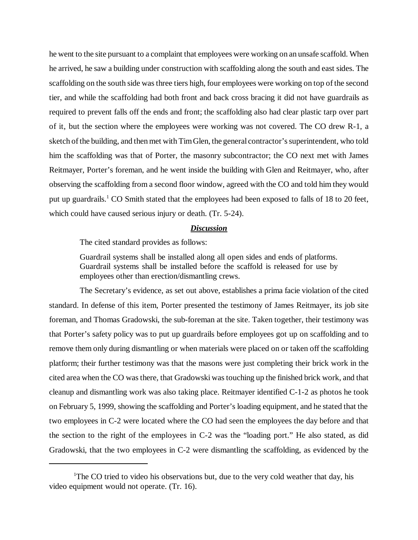he went to the site pursuant to a complaint that employees were working on an unsafe scaffold. When he arrived, he saw a building under construction with scaffolding along the south and east sides. The scaffolding on the south side was three tiers high, four employees were working on top of the second tier, and while the scaffolding had both front and back cross bracing it did not have guardrails as required to prevent falls off the ends and front; the scaffolding also had clear plastic tarp over part of it, but the section where the employees were working was not covered. The CO drew R-1, a sketch of the building, and then met with Tim Glen, the general contractor's superintendent, who told him the scaffolding was that of Porter, the masonry subcontractor; the CO next met with James Reitmayer, Porter's foreman, and he went inside the building with Glen and Reitmayer, who, after observing the scaffolding from a second floor window, agreed with the CO and told him they would put up guardrails.<sup>1</sup> CO Smith stated that the employees had been exposed to falls of 18 to 20 feet, which could have caused serious injury or death. (Tr. 5-24).

#### *Discussion*

The cited standard provides as follows:

Guardrail systems shall be installed along all open sides and ends of platforms. Guardrail systems shall be installed before the scaffold is released for use by employees other than erection/dismantling crews.

The Secretary's evidence, as set out above, establishes a prima facie violation of the cited standard. In defense of this item, Porter presented the testimony of James Reitmayer, its job site foreman, and Thomas Gradowski, the sub-foreman at the site. Taken together, their testimony was that Porter's safety policy was to put up guardrails before employees got up on scaffolding and to remove them only during dismantling or when materials were placed on or taken off the scaffolding platform; their further testimony was that the masons were just completing their brick work in the cited area when the CO was there, that Gradowski was touching up the finished brick work, and that cleanup and dismantling work was also taking place. Reitmayer identified C-1-2 as photos he took on February 5, 1999, showing the scaffolding and Porter's loading equipment, and he stated that the two employees in C-2 were located where the CO had seen the employees the day before and that the section to the right of the employees in C-2 was the "loading port." He also stated, as did Gradowski, that the two employees in C-2 were dismantling the scaffolding, as evidenced by the

<sup>&</sup>lt;sup>1</sup>The CO tried to video his observations but, due to the very cold weather that day, his video equipment would not operate. (Tr. 16).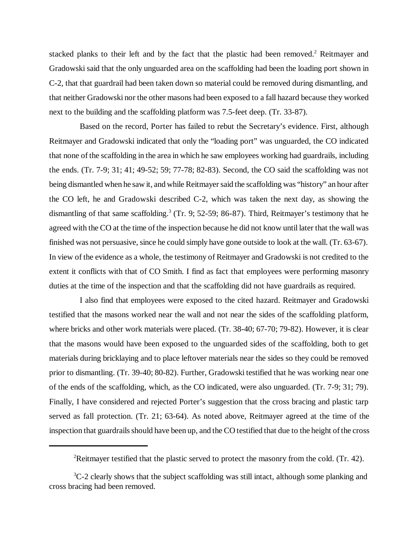stacked planks to their left and by the fact that the plastic had been removed.<sup>2</sup> Reitmayer and Gradowski said that the only unguarded area on the scaffolding had been the loading port shown in C-2, that that guardrail had been taken down so material could be removed during dismantling, and that neither Gradowski nor the other masons had been exposed to a fall hazard because they worked next to the building and the scaffolding platform was 7.5-feet deep. (Tr. 33-87).

Based on the record, Porter has failed to rebut the Secretary's evidence. First, although Reitmayer and Gradowski indicated that only the "loading port" was unguarded, the CO indicated that none of the scaffolding in the area in which he saw employees working had guardrails, including the ends. (Tr. 7-9; 31; 41; 49-52; 59; 77-78; 82-83). Second, the CO said the scaffolding was not being dismantled when he saw it, and while Reitmayer said the scaffolding was "history" an hour after the CO left, he and Gradowski described C-2, which was taken the next day, as showing the dismantling of that same scaffolding.<sup>3</sup> (Tr. 9; 52-59; 86-87). Third, Reitmayer's testimony that he agreed with the CO at the time of the inspection because he did not know until later that the wall was finished was not persuasive, since he could simply have gone outside to look at the wall. (Tr. 63-67). In view of the evidence as a whole, the testimony of Reitmayer and Gradowski is not credited to the extent it conflicts with that of CO Smith. I find as fact that employees were performing masonry duties at the time of the inspection and that the scaffolding did not have guardrails as required.

I also find that employees were exposed to the cited hazard. Reitmayer and Gradowski testified that the masons worked near the wall and not near the sides of the scaffolding platform, where bricks and other work materials were placed. (Tr. 38-40; 67-70; 79-82). However, it is clear that the masons would have been exposed to the unguarded sides of the scaffolding, both to get materials during bricklaying and to place leftover materials near the sides so they could be removed prior to dismantling. (Tr. 39-40; 80-82). Further, Gradowski testified that he was working near one of the ends of the scaffolding, which, as the CO indicated, were also unguarded. (Tr. 7-9; 31; 79). Finally, I have considered and rejected Porter's suggestion that the cross bracing and plastic tarp served as fall protection. (Tr. 21; 63-64). As noted above, Reitmayer agreed at the time of the inspection that guardrails should have been up, and the CO testified that due to the height of the cross

<sup>&</sup>lt;sup>2</sup>Reitmayer testified that the plastic served to protect the masonry from the cold. (Tr. 42).

 ${}^{3}C-2$  clearly shows that the subject scaffolding was still intact, although some planking and cross bracing had been removed.